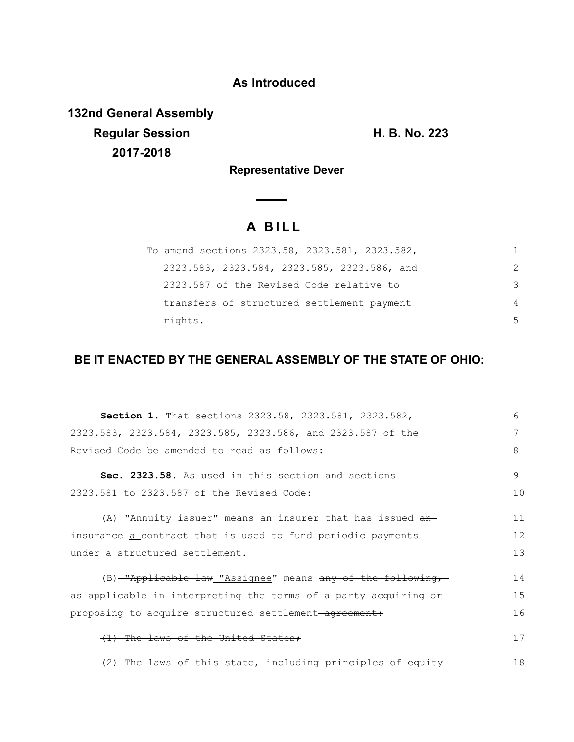## **As Introduced**

**132nd General Assembly Regular Session H. B. No. 223 2017-2018**

**Representative Dever**

## **A B I L L**

| To amend sections 2323.58, 2323.581, 2323.582, |               |
|------------------------------------------------|---------------|
| 2323.583, 2323.584, 2323.585, 2323.586, and    | $\mathcal{P}$ |
| 2323.587 of the Revised Code relative to       | 3             |
| transfers of structured settlement payment     | 4             |
| rights.                                        | .5            |

## **BE IT ENACTED BY THE GENERAL ASSEMBLY OF THE STATE OF OHIO:**

| Section 1. That sections 2323.58, 2323.581, 2323.582,              | 6  |
|--------------------------------------------------------------------|----|
| 2323.583, 2323.584, 2323.585, 2323.586, and 2323.587 of the        | 7  |
| Revised Code be amended to read as follows:                        | 8  |
| Sec. 2323.58. As used in this section and sections                 | 9  |
| 2323.581 to 2323.587 of the Revised Code:                          | 10 |
| (A) "Annuity issuer" means an insurer that has issued an-          | 11 |
| insurance a contract that is used to fund periodic payments        | 12 |
| under a structured settlement.                                     | 13 |
| (B) <u>"Applicable law "Assignee</u> " means any of the following, | 14 |
| as applicable in interpreting the terms of a party acquiring or    | 15 |
| proposing to acquire structured settlement-agreement:              | 16 |
| (1) The laws of the United States:                                 | 17 |
| (2) The laws of this state, including principles of equity         | 18 |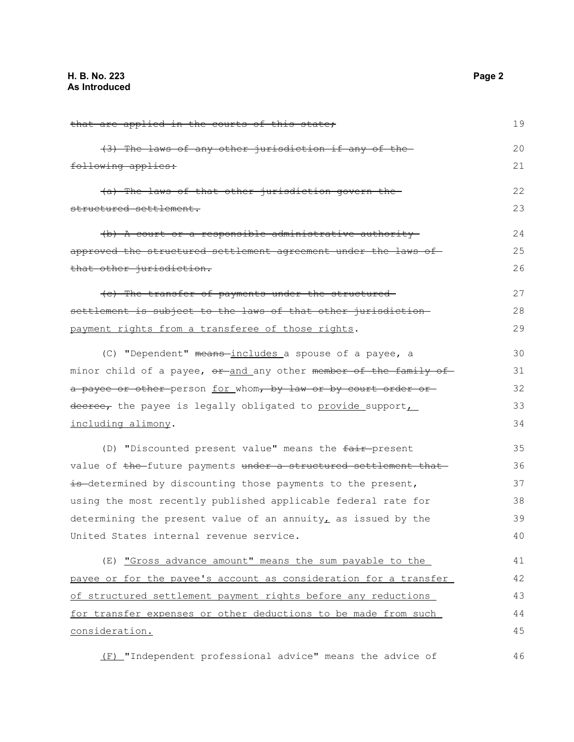| that are applied in the courts of this state;                    | 19 |
|------------------------------------------------------------------|----|
| (3) The laws of any other jurisdiction if any of the-            | 20 |
| following applies:                                               | 21 |
| (a) The laws of that other jurisdiction govern the               | 22 |
| structured settlement.                                           | 23 |
| (b) A court or a responsible administrative authority            | 24 |
| approved the structured settlement agreement under the laws of   | 25 |
| that other jurisdiction.                                         | 26 |
| (c) The transfer of payments under the structured-               | 27 |
| settlement is subject to the laws of that other jurisdiction-    | 28 |
| payment rights from a transferee of those rights.                | 29 |
| (C) "Dependent" means-includes a spouse of a payee, a            | 30 |
| minor child of a payee, or and any other member of the family of | 31 |
| a payee or other person for whom, by law or by court order or    | 32 |
| decree, the payee is legally obligated to provide support        | 33 |
| including alimony.                                               | 34 |
| (D) "Discounted present value" means the fair-present            | 35 |
| value of the future payments under a structured settlement that  | 36 |
| is determined by discounting those payments to the present,      | 37 |
| using the most recently published applicable federal rate for    | 38 |
| determining the present value of an annuity, as issued by the    | 39 |
| United States internal revenue service.                          | 40 |
| (E) "Gross advance amount" means the sum payable to the          | 41 |
| payee or for the payee's account as consideration for a transfer | 42 |
| of structured settlement payment rights before any reductions    | 43 |
| for transfer expenses or other deductions to be made from such   | 44 |
| consideration.                                                   | 45 |
| (F) "Independent professional advice" means the advice of        | 46 |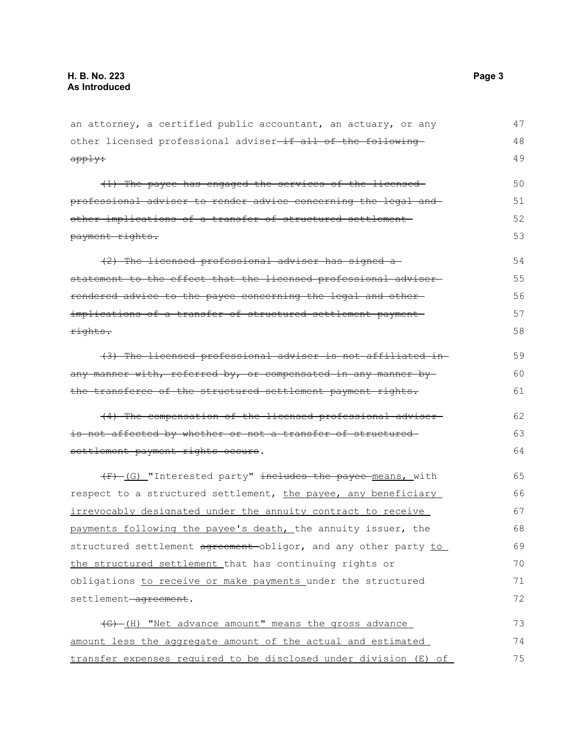| an attorney, a certified public accountant, an actuary, or any   | 47 |
|------------------------------------------------------------------|----|
| other licensed professional adviser-if all of the following-     | 48 |
| apply:                                                           | 49 |
| (1) The payee has engaged the services of the licensed-          | 50 |
| professional adviser to render advice concerning the legal and   | 51 |
| other implications of a transfer of structured settlement-       | 52 |
| payment rights.                                                  | 53 |
| (2) The licensed professional adviser has signed a               | 54 |
| statement to the effect that the licensed professional adviser-  | 55 |
| rendered advice to the payee concerning the legal and other-     | 56 |
| implications of a transfer of structured settlement payment      | 57 |
| rights.                                                          | 58 |
| (3) The licensed professional adviser is not affiliated in-      | 59 |
| any manner with, referred by, or compensated in any manner by    | 60 |
| the transferee of the structured settlement payment rights.      | 61 |
| (4) The compensation of the licensed professional adviser-       | 62 |
| is not affected by whether or not a transfer of structured-      | 63 |
| settlement payment rights occurs.                                | 64 |
| (F) (G) "Interested party" includes the payee means, with        | 65 |
| respect to a structured settlement, the payee, any beneficiary   | 66 |
| irrevocably designated under the annuity contract to receive     | 67 |
| payments following the payee's death, the annuity issuer, the    | 68 |
| structured settlement agreement-obligor, and any other party to  | 69 |
| the structured settlement that has continuing rights or          | 70 |
| obligations to receive or make payments under the structured     | 71 |
| settlement-agreement.                                            | 72 |
| (G)-(H) "Net advance amount" means the gross advance             | 73 |
| amount less the aggregate amount of the actual and estimated     | 74 |
| transfer expenses required to be disclosed under division (E) of | 75 |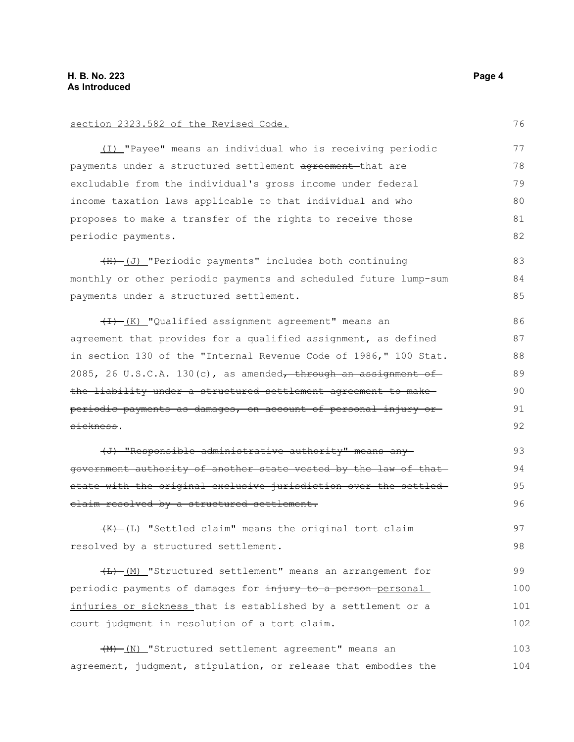| section 2323.582 of the Revised Code.                            | 76  |
|------------------------------------------------------------------|-----|
| (I) "Payee" means an individual who is receiving periodic        | 77  |
| payments under a structured settlement agreement-that are        | 78  |
| excludable from the individual's gross income under federal      | 79  |
| income taxation laws applicable to that individual and who       | 80  |
| proposes to make a transfer of the rights to receive those       | 81  |
| periodic payments.                                               | 82  |
| (H) (J) "Periodic payments" includes both continuing             | 83  |
| monthly or other periodic payments and scheduled future lump-sum | 84  |
| payments under a structured settlement.                          | 85  |
| (I) (K) "Qualified assignment agreement" means an                | 86  |
| agreement that provides for a qualified assignment, as defined   | 87  |
| in section 130 of the "Internal Revenue Code of 1986," 100 Stat. | 88  |
| 2085, 26 U.S.C.A. 130(c), as amended, through an assignment of   | 89  |
| the liability under a structured settlement agreement to make-   | 90  |
| periodic payments as damages, on account of personal injury or-  | 91  |
| sickness.                                                        | 92  |
| (J) "Responsible administrative authority" means any             | 93  |
| government authority of another state vested by the law of that  | 94  |
| state with the original exclusive jurisdiction over the settled- | 95  |
| elaim resolved by a structured settlement.                       | 96  |
| (K) (L) "Settled claim" means the original tort claim            | 97  |
| resolved by a structured settlement.                             | 98  |
| (L)-(M) "Structured settlement" means an arrangement for         | 99  |
| periodic payments of damages for injury to a person-personal     | 100 |
| injuries or sickness that is established by a settlement or a    | 101 |
| court judgment in resolution of a tort claim.                    | 102 |

(M) (N) "Structured settlement agreement" means an agreement, judgment, stipulation, or release that embodies the 103 104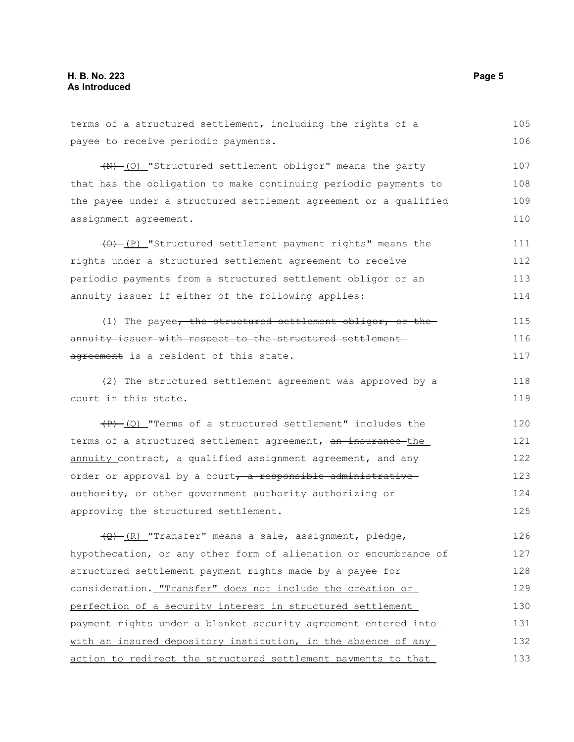terms of a structured settlement, including the rights of a payee to receive periodic payments.  $(W)$  (O) "Structured settlement obligor" means the party that has the obligation to make continuing periodic payments to the payee under a structured settlement agreement or a qualified assignment agreement.  $(0)$  (P) "Structured settlement payment rights" means the rights under a structured settlement agreement to receive periodic payments from a structured settlement obligor or an annuity issuer if either of the following applies: (1) The payee, the structured settlement obligor, or the annuity issuer with respect to the structured settlementagreement is a resident of this state. (2) The structured settlement agreement was approved by a court in this state.  $(P)$  (Q) "Terms of a structured settlement" includes the terms of a structured settlement agreement, an insurance the annuity contract, a qualified assignment agreement, and any order or approval by a court, a responsible administrativeauthority, or other government authority authorizing or approving the structured settlement.  $\frac{1}{2}$  (R) "Transfer" means a sale, assignment, pledge, hypothecation, or any other form of alienation or encumbrance of structured settlement payment rights made by a payee for consideration. "Transfer" does not include the creation or perfection of a security interest in structured settlement payment rights under a blanket security agreement entered into with an insured depository institution, in the absence of any action to redirect the structured settlement payments to that 105 106 107 108 109 110 111 112 113 114 115 116 117 118 119 120 121 122 123 124 125 126 127 128 129 130 131 132 133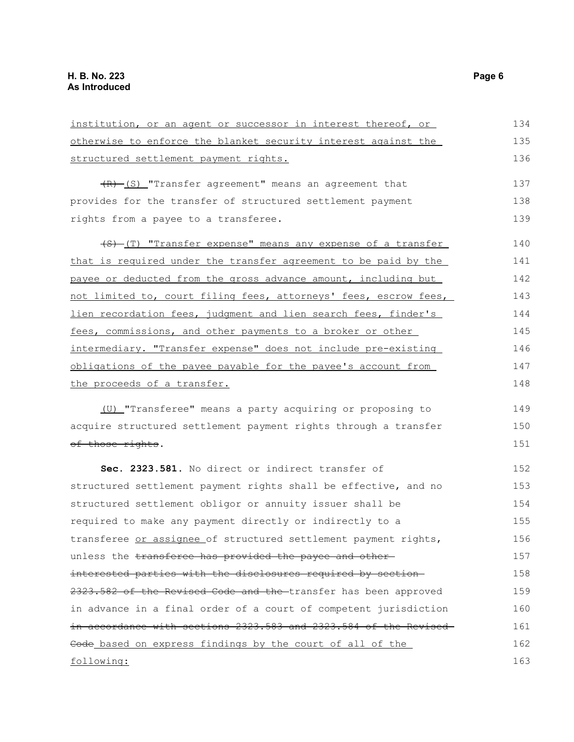| institution, or an agent or successor in interest thereof, or    | 134 |
|------------------------------------------------------------------|-----|
| otherwise to enforce the blanket security interest against the   | 135 |
| structured settlement payment rights.                            | 136 |
| $(R)$ (S) "Transfer agreement" means an agreement that           | 137 |
| provides for the transfer of structured settlement payment       | 138 |
| rights from a payee to a transferee.                             | 139 |
| (S) (T) "Transfer expense" means any expense of a transfer       | 140 |
| that is required under the transfer agreement to be paid by the  | 141 |
| payee or deducted from the gross advance amount, including but   | 142 |
| not limited to, court filing fees, attorneys' fees, escrow fees, | 143 |
| lien recordation fees, judgment and lien search fees, finder's   | 144 |
| fees, commissions, and other payments to a broker or other       | 145 |
| intermediary. "Transfer expense" does not include pre-existing   | 146 |
| obligations of the payee payable for the payee's account from    | 147 |
| the proceeds of a transfer.                                      | 148 |
| (U) "Transferee" means a party acquiring or proposing to         | 149 |
| acquire structured settlement payment rights through a transfer  | 150 |
| of those rights.                                                 | 151 |
| Sec. 2323.581. No direct or indirect transfer of                 | 152 |
| structured settlement payment rights shall be effective, and no  | 153 |
| structured settlement obligor or annuity issuer shall be         | 154 |
| required to make any payment directly or indirectly to a         | 155 |
| transferee or assignee of structured settlement payment rights,  | 156 |
| unless the transferee has provided the payee and other-          | 157 |
| interested parties with the disclosures required by section-     | 158 |
| 2323.582 of the Revised Code and the transfer has been approved  | 159 |
| in advance in a final order of a court of competent jurisdiction | 160 |
| in accordance with sections 2323.583 and 2323.584 of the Revised | 161 |
| Code based on express findings by the court of all of the        | 162 |
| following:                                                       | 163 |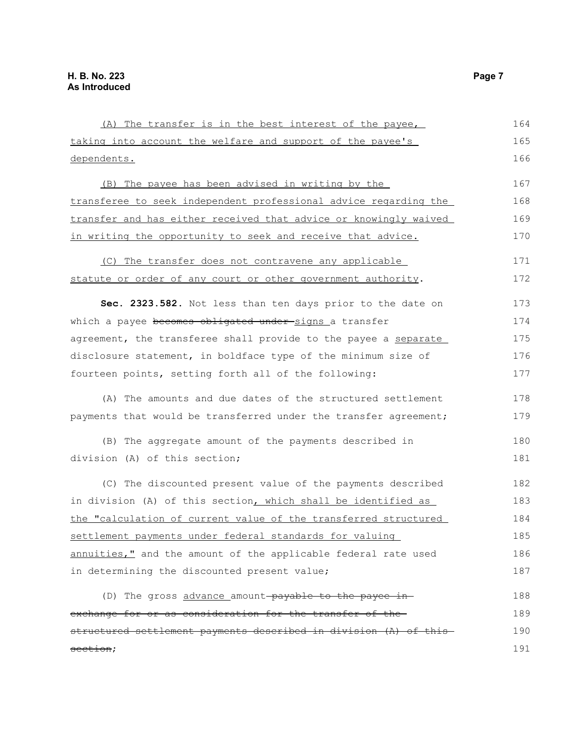| (A) The transfer is in the best interest of the payee,           | 164 |
|------------------------------------------------------------------|-----|
| taking into account the welfare and support of the payee's       | 165 |
| dependents.                                                      | 166 |
| (B) The payee has been advised in writing by the                 | 167 |
| transferee to seek independent professional advice regarding the | 168 |
| transfer and has either received that advice or knowingly waived | 169 |
| in writing the opportunity to seek and receive that advice.      | 170 |
| (C) The transfer does not contravene any applicable              | 171 |
| statute or order of any court or other government authority.     | 172 |
| Sec. 2323.582. Not less than ten days prior to the date on       | 173 |
| which a payee becomes obligated under-signs a transfer           | 174 |
| agreement, the transferee shall provide to the payee a separate  | 175 |
| disclosure statement, in boldface type of the minimum size of    | 176 |
| fourteen points, setting forth all of the following:             | 177 |
| (A) The amounts and due dates of the structured settlement       | 178 |
| payments that would be transferred under the transfer agreement; | 179 |
| (B) The aggregate amount of the payments described in            | 180 |
| division (A) of this section;                                    | 181 |
| (C) The discounted present value of the payments described       | 182 |
| in division (A) of this section, which shall be identified as    | 183 |
| the "calculation of current value of the transferred structured  | 184 |
| settlement payments under federal standards for valuing          | 185 |
| annuities," and the amount of the applicable federal rate used   | 186 |
| in determining the discounted present value;                     | 187 |
| (D) The gross advance amount-payable to the payee in-            | 188 |
| exchange for or as consideration for the transfer of the-        | 189 |
| structured settlement payments described in division (A) of this | 190 |
| section;                                                         | 191 |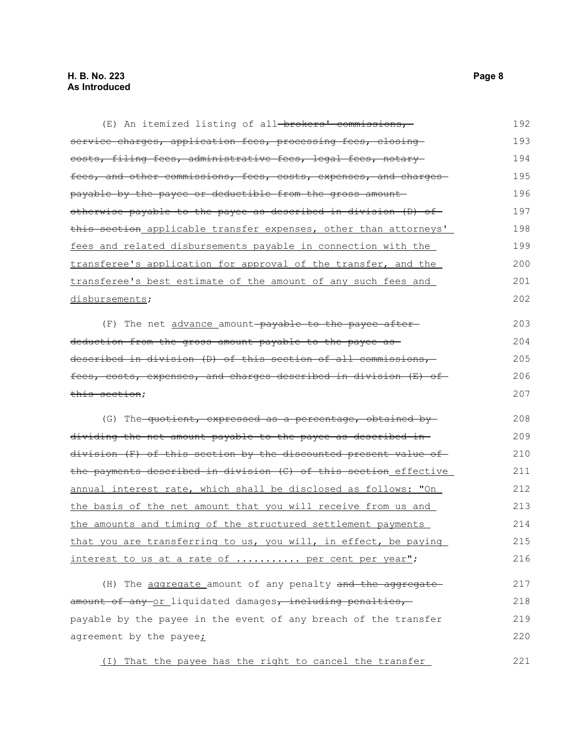| (E) An itemized listing of all-brokers' commissions,                  | 192 |
|-----------------------------------------------------------------------|-----|
| service charges, application fees, processing fees, closing           | 193 |
| costs, filing fees, administrative fees, legal fees, notary           | 194 |
| fees, and other commissions, fees, costs, expenses, and charges       | 195 |
| payable by the payee or deductible from the gross amount              | 196 |
| otherwise payable to the payee as described in division (D) of        | 197 |
| this section applicable transfer expenses, other than attorneys'      | 198 |
| fees and related disbursements payable in connection with the         | 199 |
| transferee's application for approval of the transfer, and the        | 200 |
| transferee's best estimate of the amount of any such fees and         | 201 |
| disbursements;                                                        | 202 |
| (F) The net advance amount-payable to the payee after-                | 203 |
| deduction from the gross amount payable to the payee as -             | 204 |
| described in division (D) of this section of all commissions,         | 205 |
| fees, costs, expenses, and charges described in division (E) of       | 206 |
| this section;                                                         | 207 |
| (G) The <del>-quotient, expressed as a percentage, obtained by-</del> | 208 |
| dividing the net amount payable to the payee as described in-         | 209 |
| division (F) of this section by the discounted present value of       | 210 |
| the payments described in division (C) of this section effective      | 211 |
| annual interest rate, which shall be disclosed as follows: "On        | 212 |
| the basis of the net amount that you will receive from us and         | 213 |
| the amounts and timing of the structured settlement payments          | 214 |
| that you are transferring to us, you will, in effect, be paying       | 215 |
| interest to us at a rate of  per cent per year";                      | 216 |
| (H) The aggregate amount of any penalty and the aggregate             | 217 |
| amount of any or liquidated damages, including penalties,             | 218 |
| payable by the payee in the event of any breach of the transfer       | 219 |
| agreement by the payee;                                               | 220 |
| That the payee has the right to cancel the transfer<br>( I )          | 221 |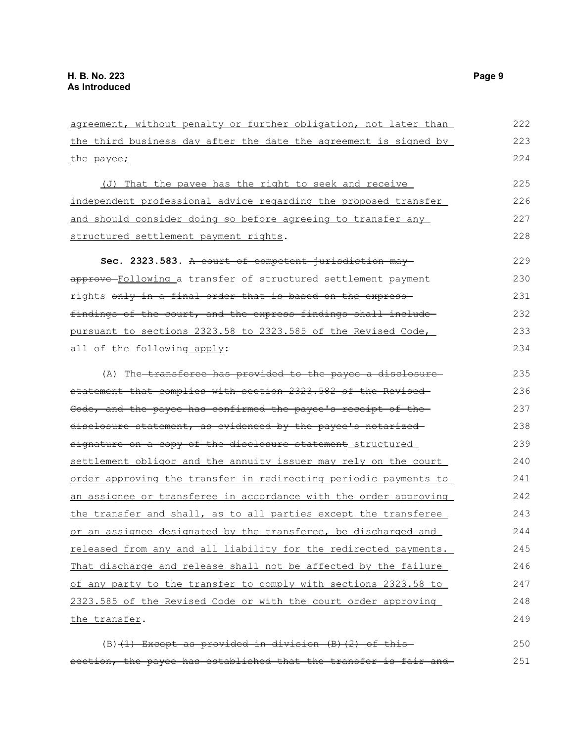| agreement, without penalty or further obligation, not later than | 222 |
|------------------------------------------------------------------|-----|
| the third business day after the date the agreement is signed by | 223 |
| the payee;                                                       | 224 |
| (J) That the payee has the right to seek and receive             | 225 |
| independent professional advice regarding the proposed transfer  | 226 |
| and should consider doing so before agreeing to transfer any     | 227 |
| structured settlement payment rights.                            | 228 |
| Sec. 2323.583. A court of competent jurisdiction may             | 229 |
| approve-Following a transfer of structured settlement payment    | 230 |
| rights only in a final order that is based on the express-       | 231 |
| findings of the court, and the express findings shall include-   | 232 |
| pursuant to sections 2323.58 to 2323.585 of the Revised Code,    | 233 |
| all of the following apply:                                      | 234 |
| (A) The transferee has provided to the payee a disclosure        | 235 |
| statement that complies with section 2323.582 of the Revised-    | 236 |
| Code, and the payee has confirmed the payee's receipt of the     | 237 |
| disclosure statement, as evidenced by the payee's notarized      | 238 |
| signature on a copy of the disclosure statement structured       | 239 |
| settlement obligor and the annuity issuer may rely on the court  | 240 |
| order approving the transfer in redirecting periodic payments to | 241 |
| an assignee or transferee in accordance with the order approving | 242 |
| the transfer and shall, as to all parties except the transferee  | 243 |
| or an assignee designated by the transferee, be discharged and   | 244 |
| released from any and all liability for the redirected payments. | 245 |
| That discharge and release shall not be affected by the failure  | 246 |
| of any party to the transfer to comply with sections 2323.58 to  | 247 |
| 2323.585 of the Revised Code or with the court order approving   | 248 |
| the transfer.                                                    | 249 |
|                                                                  |     |

(B) $(1)$  Except as provided in division  $(B)$   $(2)$  of this section, the payee has established that the transfer is fair and 250 251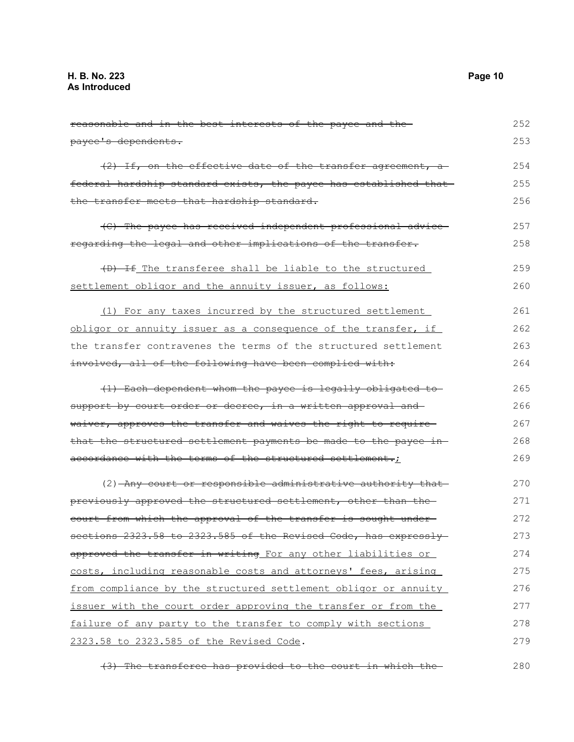reasonable and in the best interests of the payee and the payee's dependents. (2) If, on the effective date of the transfer agreement, a federal hardship standard exists, the payee has established that the transfer meets that hardship standard. (C) The payee has received independent professional advice regarding the legal and other implications of the transfer. (D) If The transferee shall be liable to the structured settlement obligor and the annuity issuer, as follows: (1) For any taxes incurred by the structured settlement obligor or annuity issuer as a consequence of the transfer, if the transfer contravenes the terms of the structured settlement involved, all of the following have been complied with: (1) Each dependent whom the payee is legally obligated to support by court order or decree, in a written approval and waiver, approves the transfer and waives the right to require that the structured settlement payments be made to the payee inaccordance with the terms of the structured settlement.; (2) Any court or responsible administrative authority that previously approved the structured settlement, other than the court from which the approval of the transfer is sought under sections 2323.58 to 2323.585 of the Revised Code, has expresslyapproved the transfer in writing For any other liabilities or costs, including reasonable costs and attorneys' fees, arising from compliance by the structured settlement obligor or annuity issuer with the court order approving the transfer or from the failure of any party to the transfer to comply with sections 2323.58 to 2323.585 of the Revised Code. 252 253 254 255 256 257 258 259 260 261 262 263 264 265 266 267 268 269 270 271 272 273 274 275 276 277 278 279

(3) The transferee has provided to the court in which the 280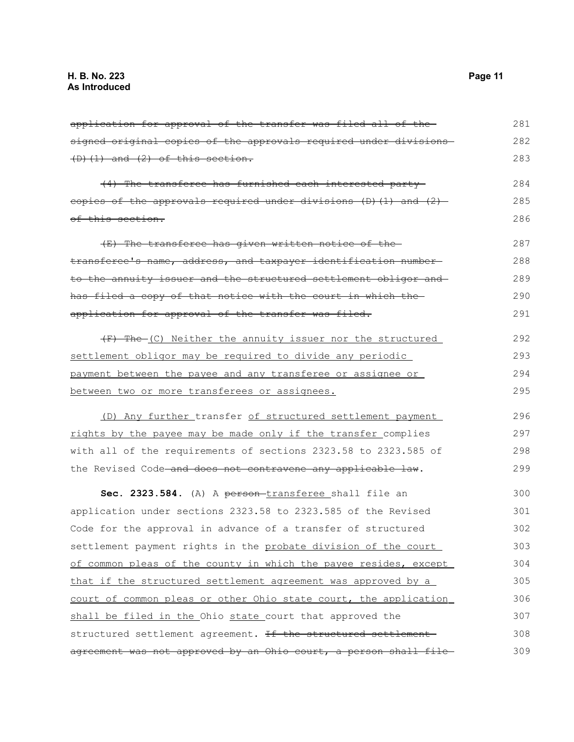| application for approval of the transfer was filed all of the-   | 281 |
|------------------------------------------------------------------|-----|
| signed original copies of the approvals required under divisions | 282 |
| $(D)$ $(1)$ and $(2)$ of this section.                           | 283 |
| (4) The transferee has furnished each interested party-          | 284 |
| eopies of the approvals required under divisions (D) (1) and (2) | 285 |
| of this section.                                                 | 286 |
| (E) The transferee has given written notice of the-              | 287 |
| transferee's name, address, and taxpayer identification number-  | 288 |
| to the annuity issuer and the structured settlement obligor and  | 289 |
| has filed a copy of that notice with the court in which the      | 290 |
| application for approval of the transfer was filed.              | 291 |
| (F) The (C) Neither the annuity issuer nor the structured        | 292 |
| settlement obligor may be required to divide any periodic        | 293 |
| payment between the payee and any transferee or assignee or      | 294 |
| between two or more transferees or assignees.                    | 295 |
| (D) Any further transfer of structured settlement payment        | 296 |
| rights by the payee may be made only if the transfer complies    | 297 |
| with all of the requirements of sections 2323.58 to 2323.585 of  | 298 |
| the Revised Code and does not contravene any applicable law.     | 299 |
| Sec. 2323.584. (A) A person-transferee shall file an             | 300 |
| application under sections 2323.58 to 2323.585 of the Revised    | 301 |
| Code for the approval in advance of a transfer of structured     | 302 |
| settlement payment rights in the probate division of the court   | 303 |
| of common pleas of the county in which the payee resides, except | 304 |
| that if the structured settlement agreement was approved by a    | 305 |
| court of common pleas or other Ohio state court, the application | 306 |
| shall be filed in the Ohio state court that approved the         | 307 |
| structured settlement agreement. If the structured settlement-   | 308 |
| agreement was not approved by an Ohio court, a person shall file | 309 |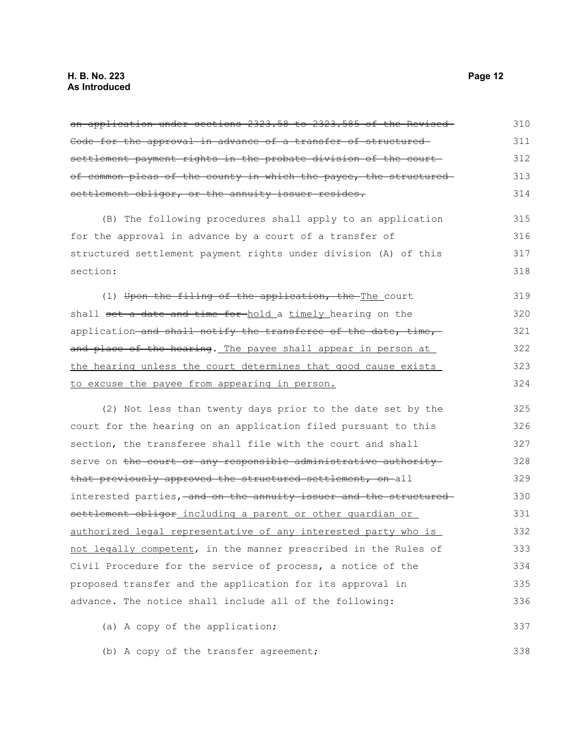an application under sections 2323.58 to 2323.585 of the Revised Code for the approval in advance of a transfer of structured settlement payment rights in the probate division of the courtof common pleas of the county in which the payee, the structured settlement obligor, or the annuity issuer resides. (B) The following procedures shall apply to an application for the approval in advance by a court of a transfer of structured settlement payment rights under division (A) of this section: (1) Upon the filing of the application, the The court shall set a date and time for-hold a timely hearing on the application and shall notify the transferee of the date, time, and place of the hearing. The payee shall appear in person at the hearing unless the court determines that good cause exists to excuse the payee from appearing in person. (2) Not less than twenty days prior to the date set by the court for the hearing on an application filed pursuant to this section, the transferee shall file with the court and shall serve on the court or any responsible administrative authority that previously approved the structured settlement, on all interested parties, and on the annuity issuer and the structured settlement obligor including a parent or other quardian or authorized legal representative of any interested party who is not legally competent, in the manner prescribed in the Rules of Civil Procedure for the service of process, a notice of the proposed transfer and the application for its approval in advance. The notice shall include all of the following: (a) A copy of the application; 310 311 312 313 314 315 316 317 318 319 320 321 322 323 324 325 326 327 328 329 330 331 332 333 334 335 336 337

(b) A copy of the transfer agreement;

338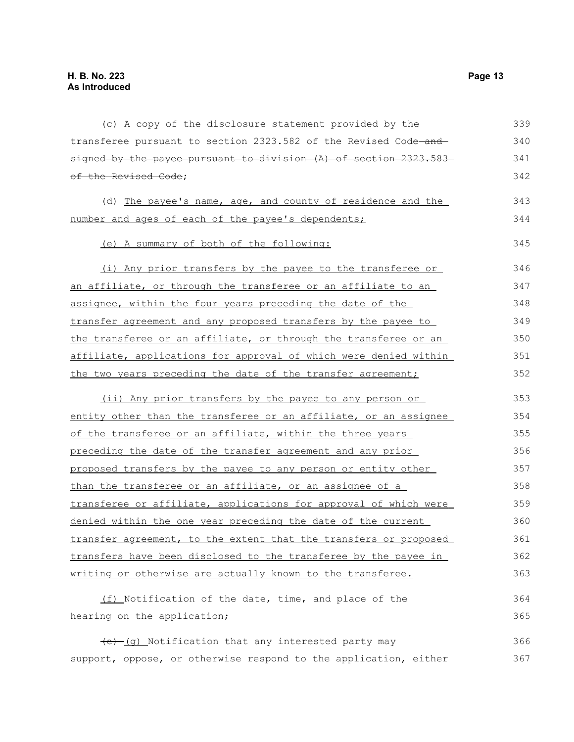| (c) A copy of the disclosure statement provided by the           | 339 |
|------------------------------------------------------------------|-----|
| transferee pursuant to section 2323.582 of the Revised Code-and- | 340 |
| signed by the payee pursuant to division (A) of section 2323.583 | 341 |
| of the Revised Code;                                             | 342 |
| (d) The payee's name, age, and county of residence and the       | 343 |
| number and ages of each of the payee's dependents;               | 344 |
| (e) A summary of both of the following:                          | 345 |
| (i) Any prior transfers by the payee to the transferee or        | 346 |
| an affiliate, or through the transferee or an affiliate to an    | 347 |
| assignee, within the four years preceding the date of the        | 348 |
| transfer agreement and any proposed transfers by the payee to    | 349 |
| the transferee or an affiliate, or through the transferee or an  | 350 |
| affiliate, applications for approval of which were denied within | 351 |
| the two years preceding the date of the transfer agreement;      | 352 |
| (ii) Any prior transfers by the payee to any person or           | 353 |
| entity other than the transferee or an affiliate, or an assignee | 354 |
| of the transferee or an affiliate, within the three years        | 355 |
| preceding the date of the transfer agreement and any prior       | 356 |
| proposed transfers by the payee to any person or entity other    | 357 |
| than the transferee or an affiliate, or an assignee of a         | 358 |
| transferee or affiliate, applications for approval of which were | 359 |
| denied within the one year preceding the date of the current     | 360 |
| transfer agreement, to the extent that the transfers or proposed | 361 |
| transfers have been disclosed to the transferee by the payee in  | 362 |
| writing or otherwise are actually known to the transferee.       | 363 |
| (f) Notification of the date, time, and place of the             | 364 |
| hearing on the application;                                      | 365 |
| (e) (g) Notification that any interested party may               | 366 |
| support, oppose, or otherwise respond to the application, either | 367 |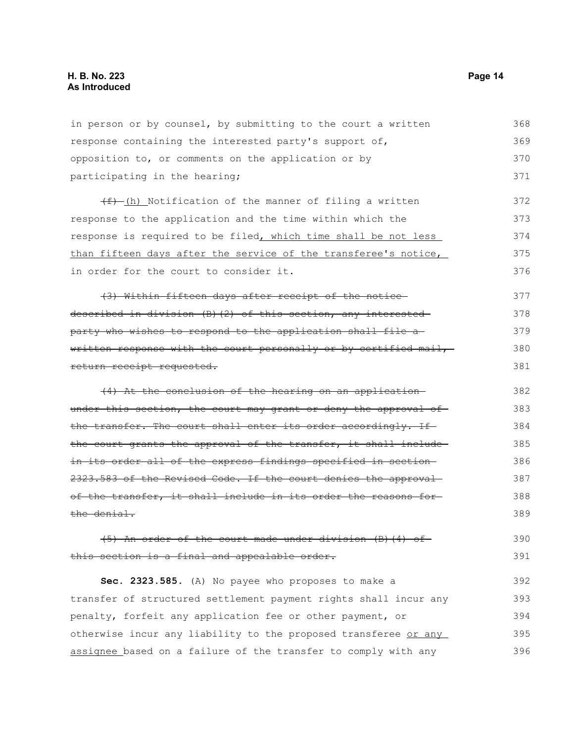in person or by counsel, by submitting to the court a written response containing the interested party's support of, opposition to, or comments on the application or by participating in the hearing;  $(f)$  (h) Notification of the manner of filing a written response to the application and the time within which the response is required to be filed, which time shall be not less than fifteen days after the service of the transferee's notice, in order for the court to consider it. (3) Within fifteen days after receipt of the notice described in division (B)(2) of this section, any interested party who wishes to respond to the application shall file a written response with the court personally or by certified mail, return receipt requested. (4) At the conclusion of the hearing on an application under this section, the court may grant or deny the approval of the transfer. The court shall enter its order accordingly. If the court grants the approval of the transfer, it shall includein its order all of the express findings specified in section 2323.583 of the Revised Code. If the court denies the approvalof the transfer, it shall include in its order the reasons for the denial. (5) An order of the court made under division (B)(4) of this section is a final and appealable order. **Sec. 2323.585.** (A) No payee who proposes to make a transfer of structured settlement payment rights shall incur any 368 369 370 371 372 373 374 375 376 377 378 379 380 381 382 383 384 385 386 387 388 389 390 391 392 393

penalty, forfeit any application fee or other payment, or otherwise incur any liability to the proposed transferee or any assignee based on a failure of the transfer to comply with any 394 395 396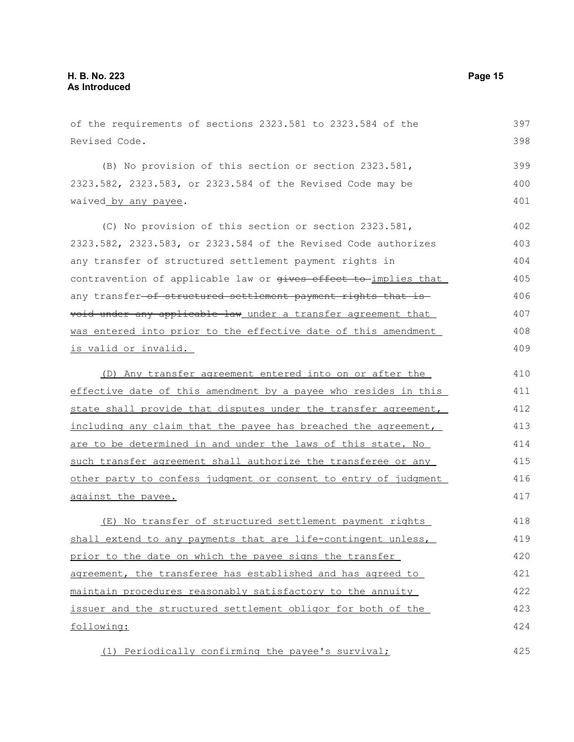of the requirements of sections 2323.581 to 2323.584 of the Revised Code. (B) No provision of this section or section 2323.581, 2323.582, 2323.583, or 2323.584 of the Revised Code may be waived by any payee. (C) No provision of this section or section 2323.581, 2323.582, 2323.583, or 2323.584 of the Revised Code authorizes any transfer of structured settlement payment rights in contravention of applicable law or gives effect to implies that any transfer-of structured settlement payment rights that is void under any applicable law under a transfer agreement that was entered into prior to the effective date of this amendment is valid or invalid. (D) Any transfer agreement entered into on or after the effective date of this amendment by a payee who resides in this state shall provide that disputes under the transfer agreement, including any claim that the payee has breached the agreement, are to be determined in and under the laws of this state. No such transfer agreement shall authorize the transferee or any other party to confess judgment or consent to entry of judgment against the payee. (E) No transfer of structured settlement payment rights shall extend to any payments that are life-contingent unless, prior to the date on which the payee signs the transfer agreement, the transferee has established and has agreed to maintain procedures reasonably satisfactory to the annuity issuer and the structured settlement obligor for both of the following: 397 398 399 400 401 402 403 404 405 406 407 408 409 410 411 412 413 414 415 416 417 418 419 420 421 422 423 424

(1) Periodically confirming the payee's survival;

425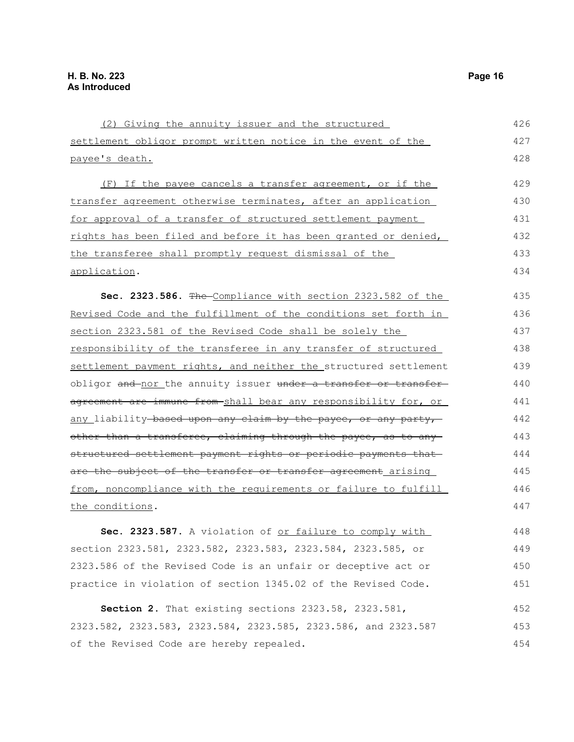(2) Giving the annuity issuer and the structured settlement obligor prompt written notice in the event of the payee's death. (F) If the payee cancels a transfer agreement, or if the transfer agreement otherwise terminates, after an application for approval of a transfer of structured settlement payment rights has been filed and before it has been granted or denied, the transferee shall promptly request dismissal of the application. **Sec. 2323.586.** The Compliance with section 2323.582 of the Revised Code and the fulfillment of the conditions set forth in section 2323.581 of the Revised Code shall be solely the responsibility of the transferee in any transfer of structured settlement payment rights, and neither the structured settlement obligor and nor the annuity issuer under a transfer or transfer agreement are immune from shall bear any responsibility for, or any liability based upon any claim by the payee, or any party, other than a transferee, claiming through the payee, as to any structured settlement payment rights or periodic payments that are the subject of the transfer or transfer agreement arising from, noncompliance with the requirements or failure to fulfill the conditions. **Sec. 2323.587.** A violation of or failure to comply with section 2323.581, 2323.582, 2323.583, 2323.584, 2323.585, or 2323.586 of the Revised Code is an unfair or deceptive act or practice in violation of section 1345.02 of the Revised Code. **Section 2.** That existing sections 2323.58, 2323.581, 426 427 428 429 430 431 432 433 434 435 436 437 438 439 440 441 442 443 444 445 446 447 448 449 450 451 452

2323.582, 2323.583, 2323.584, 2323.585, 2323.586, and 2323.587 of the Revised Code are hereby repealed. 453 454